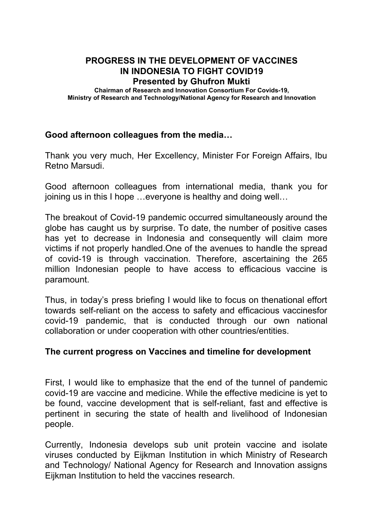# **PROGRESS IN THE DEVELOPMENT OF VACCINES IN INDONESIA TO FIGHT COVID19 Presented by Ghufron Mukti**

**Chairman of Research and Innovation Consortium For Covids-19, Ministry of Research and Technology/National Agency for Research and Innovation**

### **Good afternoon colleagues from the media…**

Thank you very much, Her Excellency, Minister For Foreign Affairs, Ibu Retno Marsudi.

Good afternoon colleagues from international media, thank you for joining us in this I hope …everyone is healthy and doing well…

The breakout of Covid-19 pandemic occurred simultaneously around the globe has caught us by surprise. To date, the number of positive cases has yet to decrease in Indonesia and consequently will claim more victims if not properly handled.One of the avenues to handle the spread of covid-19 is through vaccination. Therefore, ascertaining the 265 million Indonesian people to have access to efficacious vaccine is paramount.

Thus, in today's press briefing I would like to focus on thenational effort towards self-reliant on the access to safety and efficacious vaccinesfor covid-19 pandemic, that is conducted through our own national collaboration or under cooperation with other countries/entities.

#### **The current progress on Vaccines and timeline for development**

First, I would like to emphasize that the end of the tunnel of pandemic covid-19 are vaccine and medicine. While the effective medicine is yet to be found, vaccine development that is self-reliant, fast and effective is pertinent in securing the state of health and livelihood of Indonesian people.

Currently, Indonesia develops sub unit protein vaccine and isolate viruses conducted by Eijkman Institution in which Ministry of Research and Technology/ National Agency for Research and Innovation assigns Eijkman Institution to held the vaccines research.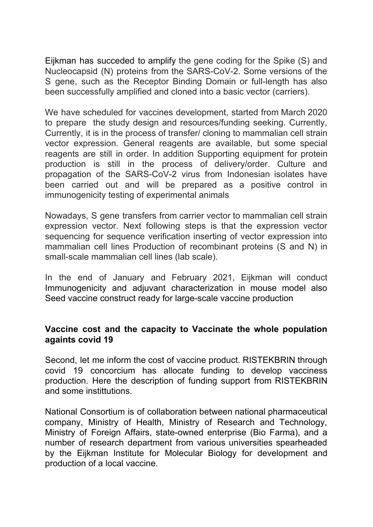Eijkman has succeded to amplify the gene coding for the Spike (S) and Nucleocapsid (N) proteins from the SARS-CoV-2. Some versions of the S gene, such as the Receptor Binding Domain or full-length has also been successfully amplified and cloned into a basic vector (carriers).

We have scheduled for vaccines development, started from March 2020 to prepare the study design and resources/funding seeking. Currently, Currently, it is in the process of transfer/ cloning to mammalian cell strain vector expression. General reagents are available, but some special reagents are still in order. In addition Supporting equipment for protein production is still in the process of delivery/order. Culture and propagation of the SARS-CoV-2 virus from Indonesian isolates have been carried out and will be prepared as a positive control in immunogenicity testing of experimental animals

Nowadays, S gene transfers from carrier vector to mammalian cell strain expression vector. Next following steps is that the expression vector sequencing for sequence verification inserting of vector expression into mammalian cell lines Production of recombinant proteins (S and N) in small-scale mammalian cell lines (lab scale).

In the end of January and February 2021, Eijkman will conduct Immunogenicity and adjuvant characterization in mouse model also Seed vaccine construct ready for large-scale vaccine production

### **Vaccine cost and the capacity to Vaccinate the whole population againts covid 19**

Second, let me inform the cost of vaccine product. RISTEKBRIN through covid 19 concorcium has allocate funding to develop vacciness production. Here the description of funding support from RISTEKBRIN and some instittutions.

National Consortium is of collaboration between national pharmaceutical company, Ministry of Health, Ministry of Research and Technology, Ministry of Foreign Affairs, state-owned enterprise (Bio Farma), and a number of research department from various universities spearheaded by the Eijkman Institute for Molecular Biology for development and production of a local vaccine.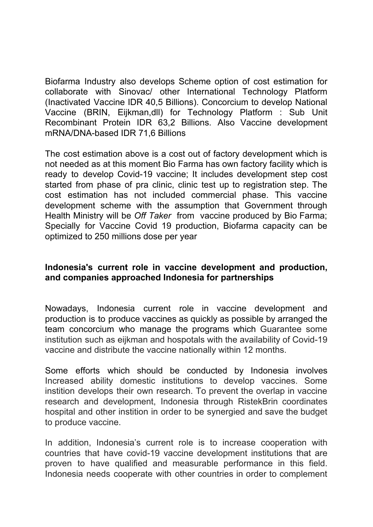Biofarma Industry also develops Scheme option of cost estimation for collaborate with Sinovac/ other International Technology Platform (Inactivated Vaccine IDR 40,5 Billions). Concorcium to develop National Vaccine (BRIN, Eijkman,dll) for Technology Platform : Sub Unit Recombinant Protein IDR 63,2 Billions. Also Vaccine development mRNA/DNA-based IDR 71,6 Billions

The cost estimation above is a cost out of factory development which is not needed as at this moment Bio Farma has own factory facility which is ready to develop Covid-19 vaccine; It includes development step cost started from phase of pra clinic, clinic test up to registration step. The cost estimation has not included commercial phase. This vaccine development scheme with the assumption that Government through Health Ministry will be *Off Taker* from vaccine produced by Bio Farma; Specially for Vaccine Covid 19 production, Biofarma capacity can be optimized to 250 millions dose per year

# **Indonesia's current role in vaccine development and production, and companies approached Indonesia for partnerships**

Nowadays, Indonesia current role in vaccine development and production is to produce vaccines as quickly as possible by arranged the team concorcium who manage the programs which Guarantee some institution such as eijkman and hospotals with the availability of Covid-19 vaccine and distribute the vaccine nationally within 12 months.

Some efforts which should be conducted by Indonesia involves Increased ability domestic institutions to develop vaccines. Some instition develops their own research. To prevent the overlap in vaccine research and development, Indonesia through RistekBrin coordinates hospital and other instition in order to be synergied and save the budget to produce vaccine.

In addition, Indonesia's current role is to increase cooperation with countries that have covid-19 vaccine development institutions that are proven to have qualified and measurable performance in this field. Indonesia needs cooperate with other countries in order to complement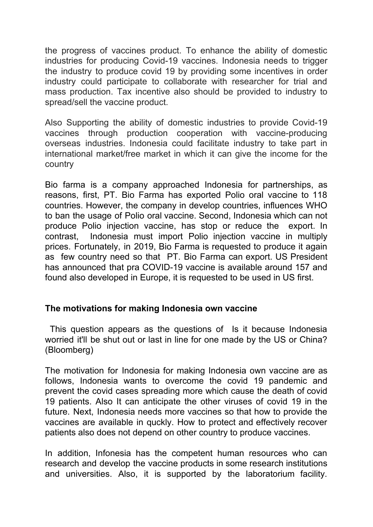the progress of vaccines product. To enhance the ability of domestic industries for producing Covid-19 vaccines. Indonesia needs to trigger the industry to produce covid 19 by providing some incentives in order industry could participate to collaborate with researcher for trial and mass production. Tax incentive also should be provided to industry to spread/sell the vaccine product.

Also Supporting the ability of domestic industries to provide Covid-19 vaccines through production cooperation with vaccine-producing overseas industries. Indonesia could facilitate industry to take part in international market/free market in which it can give the income for the country

Bio farma is a company approached Indonesia for partnerships, as reasons, first, PT. Bio Farma has exported Polio oral vaccine to 118 countries. However, the company in develop countries, influences WHO to ban the usage of Polio oral vaccine. Second, Indonesia which can not produce Polio injection vaccine, has stop or reduce the export. In contrast, Indonesia must import Polio injection vaccine in multiply prices. Fortunately, in 2019, Bio Farma is requested to produce it again as few country need so that PT. Bio Farma can export. US President has announced that pra COVID-19 vaccine is available around 157 and found also developed in Europe, it is requested to be used in US first.

### **The motivations for making Indonesia own vaccine**

This question appears as the questions of Is it because Indonesia worried it'll be shut out or last in line for one made by the US or China? (Bloomberg)

The motivation for Indonesia for making Indonesia own vaccine are as follows, Indonesia wants to overcome the covid 19 pandemic and prevent the covid cases spreading more which cause the death of covid 19 patients. Also It can anticipate the other viruses of covid 19 in the future. Next, Indonesia needs more vaccines so that how to provide the vaccines are available in quckly. How to protect and effectively recover patients also does not depend on other country to produce vaccines.

In addition, Infonesia has the competent human resources who can research and develop the vaccine products in some research institutions and universities. Also, it is supported by the laboratorium facility.